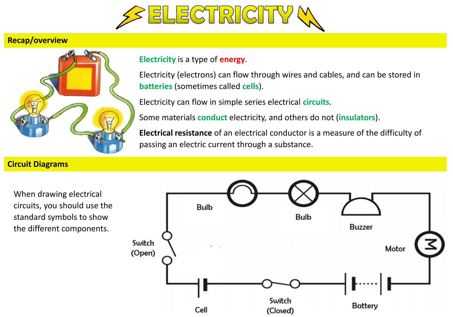

## **Recap/overview**



## **Electricity** is a type of **energy**.

Electricity (electrons) can flow through wires and cables, and can be stored in **batteries** (sometimes called **cells**).

Electricity can flow in simple series electrical **circuits**.

Some materials **conduct** electricity, and others do not (**insulators**).

**Electrical resistance** of an electrical conductor is a measure of the difficulty of passing an electric current through a substance.

## **Circuit Diagrams**

When drawing electrical circuits, you should use the standard symbols to show the different components.